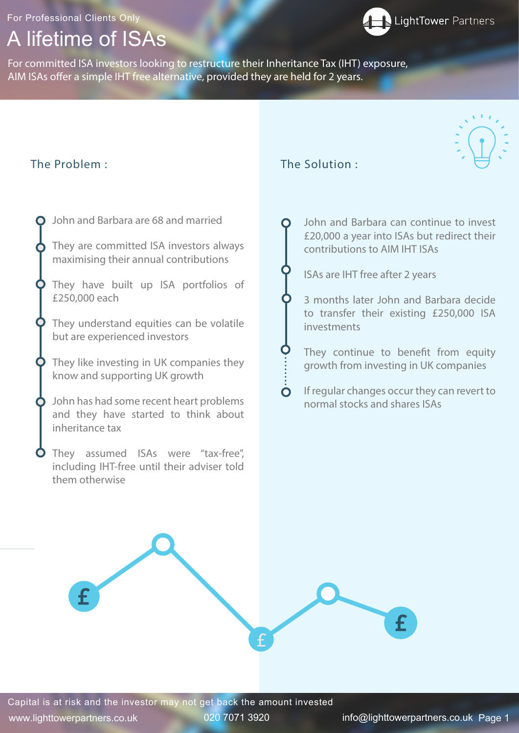## A lifetime of ISAs

For Professional Clients Only

For committed ISA investors looking to restructure their Inheritance Tax (IHT) exposure, AIM ISAs offer a simple IHT free alternative, provided they are held for 2 years.

## The Problem : The Solution :

 $\bullet$ 

John and Barbara can continue to invest

£20,000 a year into ISAs but redirect their

contributions to AIM IHT ISAs

## ISAs are IHT free after 2 years

3 months later John and Barbara decide to transfer their existing £250,000 ISA investments

- They continue to benefit from equity growth from investing in UK companies
- If regular changes occur they can revert to normal stocks and shares ISAs







John and Barbara are 68 and married

- They are committed ISA investors always maximising their annual contributions
- They have built up ISA portfolios of £250,000 each
- They understand equities can be volatile but are experienced investors
- They like investing in UK companies they know and supporting UK growth
- John has had some recent heart problems and they have started to think about inheritance tax
- **O** They assumed ISAs were "tax-free", including IHT-free until their adviser told them otherwise

Capital is at risk and the investor may not get back the amount invested

www.lighttowerpartners.co.uk 020 7071 3920 info@lighttowerpartners.co.uk Page 1